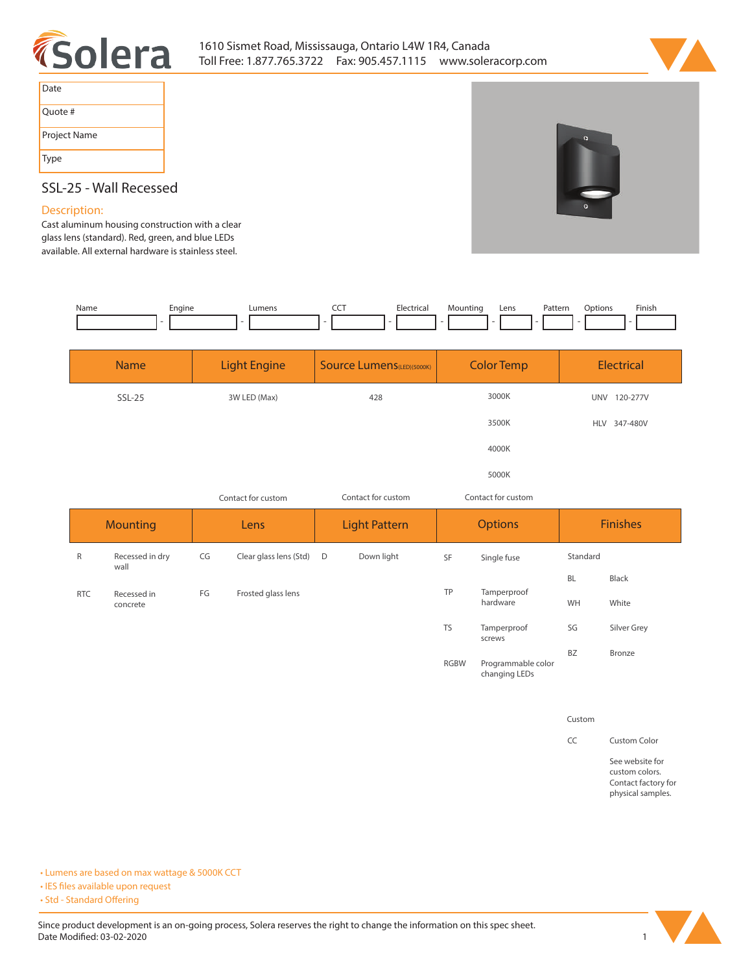



| Date         |
|--------------|
| Quote #      |
| Project Name |
| Type         |

# **SSL-25 - Wall Recessed**

## **Description:**

**Cast aluminum housing construction with a clear glass lens (standard). Red, green, and blue LEDs available. All external hardware is stainless steel.** 

| Name | Engine | Imen | --- | trica.<br>$\sim$ $\sim$ | 10untin | Lens | <b>rattelli</b> | Intinne | Finis |
|------|--------|------|-----|-------------------------|---------|------|-----------------|---------|-------|
|      |        |      |     |                         |         |      |                 |         |       |

| <b>Name</b> | <b>Light Engine</b> | Source Lumens(LED)(5000K) | <b>Color Temp</b> | Electrical             |
|-------------|---------------------|---------------------------|-------------------|------------------------|
| $SSL-25$    | 3W LED (Max)        | 428                       | 3000K             | 120-277V<br><b>UNV</b> |
|             |                     |                           | 3500K             | HLV 347-480V           |
|             |                     |                           | 4000K             |                        |
|             |                     |                           | 5000K             |                        |

|                 |                         | Contact for custom |                          | Contact for custom<br>Contact for custom |            |                |                                     |                 |             |
|-----------------|-------------------------|--------------------|--------------------------|------------------------------------------|------------|----------------|-------------------------------------|-----------------|-------------|
| <b>Mounting</b> |                         | Lens               |                          | <b>Light Pattern</b>                     |            | <b>Options</b> |                                     | <b>Finishes</b> |             |
| $\mathsf{R}$    | Recessed in dry<br>wall | CG                 | Clear glass lens (Std) D |                                          | Down light | SF             | Single fuse                         | Standard        |             |
|                 |                         |                    |                          |                                          |            |                |                                     | <b>BL</b>       | Black       |
| <b>RTC</b>      | Recessed in<br>concrete | FG                 | Frosted glass lens       |                                          |            | TP             | Tamperproof<br>hardware             | WH              | White       |
|                 |                         |                    |                          |                                          |            | <b>TS</b>      | Tamperproof<br>screws               | SG              | Silver Grey |
|                 |                         |                    |                          |                                          |            | <b>RGBW</b>    | Programmable color<br>changing LEDs | <b>BZ</b>       | Bronze      |

**Custom**

**CC Custom Color**

**See website for custom colors. Contact factory for physical samples.** 

**• Lumens are based on max wattage & 5000K CCT**

**• IES files available upon request** 

• Std - Standard Offering